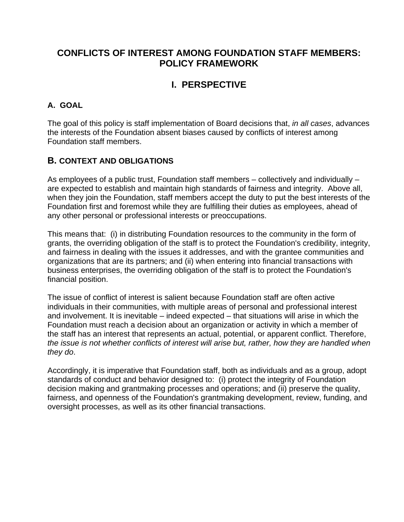## **CONFLICTS OF INTEREST AMONG FOUNDATION STAFF MEMBERS: POLICY FRAMEWORK**

# **I. PERSPECTIVE**

### **A. GOAL**

The goal of this policy is staff implementation of Board decisions that, *in all cases*, advances the interests of the Foundation absent biases caused by conflicts of interest among Foundation staff members.

## **B. CONTEXT AND OBLIGATIONS**

As employees of a public trust, Foundation staff members – collectively and individually – are expected to establish and maintain high standards of fairness and integrity. Above all, when they join the Foundation, staff members accept the duty to put the best interests of the Foundation first and foremost while they are fulfilling their duties as employees, ahead of any other personal or professional interests or preoccupations.

This means that: (i) in distributing Foundation resources to the community in the form of grants, the overriding obligation of the staff is to protect the Foundation's credibility, integrity, and fairness in dealing with the issues it addresses, and with the grantee communities and organizations that are its partners; and (ii) when entering into financial transactions with business enterprises, the overriding obligation of the staff is to protect the Foundation's financial position.

The issue of conflict of interest is salient because Foundation staff are often active individuals in their communities, with multiple areas of personal and professional interest and involvement. It is inevitable – indeed expected – that situations will arise in which the Foundation must reach a decision about an organization or activity in which a member of the staff has an interest that represents an actual, potential, or apparent conflict. Therefore, *the issue is not whether conflicts of interest will arise but, rather, how they are handled when they do*.

Accordingly, it is imperative that Foundation staff, both as individuals and as a group, adopt standards of conduct and behavior designed to: (i) protect the integrity of Foundation decision making and grantmaking processes and operations; and (ii) preserve the quality, fairness, and openness of the Foundation's grantmaking development, review, funding, and oversight processes, as well as its other financial transactions.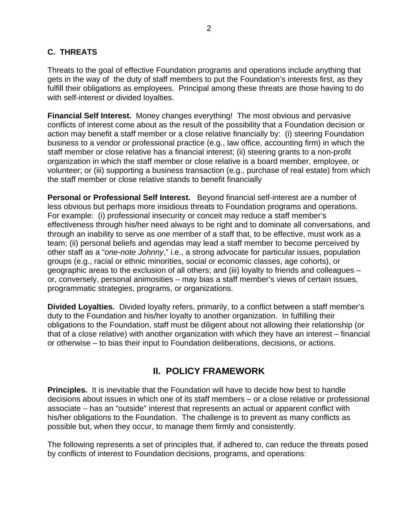#### **C. THREATS**

Threats to the goal of effective Foundation programs and operations include anything that gets in the way of the duty of staff members to put the Foundation's interests first, as they fulfill their obligations as employees. Principal among these threats are those having to do with self-interest or divided loyalties.

**Financial Self Interest.** Money changes everything! The most obvious and pervasive conflicts of interest come about as the result of the possibility that a Foundation decision or action may benefit a staff member or a close relative financially by: (i) steering Foundation business to a vendor or professional practice (e.g., law office, accounting firm) in which the staff member or close relative has a financial interest; (ii) steering grants to a non-profit organization in which the staff member or close relative is a board member, employee, or volunteer; or (iii) supporting a business transaction (e.g., purchase of real estate) from which the staff member or close relative stands to benefit financially

**Personal or Professional Self Interest.** Beyond financial self-interest are a number of less obvious but perhaps more insidious threats to Foundation programs and operations. For example: (i) professional insecurity or conceit may reduce a staff member's effectiveness through his/her need always to be right and to dominate all conversations, and through an inability to serve as *one* member of a staff that, to be effective, must work as a team; (ii) personal beliefs and agendas may lead a staff member to become perceived by other staff as a "*one-note Johnny*," i.e., a strong advocate for particular issues, population groups (e.g., racial or ethnic minorities, social or economic classes, age cohorts), or geographic areas to the exclusion of all others; and (iii) loyalty to friends and colleagues – or, conversely, personal animosities – may bias a staff member's views of certain issues, programmatic strategies, programs, or organizations.

**Divided Loyalties.** Divided loyalty refers, primarily, to a conflict between a staff member's duty to the Foundation and his/her loyalty to another organization. In fulfilling their obligations to the Foundation, staff must be diligent about not allowing their relationship (or that of a close relative) with another organization with which they have an interest – financial or otherwise – to bias their input to Foundation deliberations, decisions, or actions.

### **II. POLICY FRAMEWORK**

**Principles.** It is inevitable that the Foundation will have to decide how best to handle decisions about issues in which one of its staff members – or a close relative or professional associate – has an "outside" interest that represents an actual or apparent conflict with his/her obligations to the Foundation. The challenge is to prevent as many conflicts as possible but, when they occur, to manage them firmly and consistently.

The following represents a set of principles that, if adhered to, can reduce the threats posed by conflicts of interest to Foundation decisions, programs, and operations: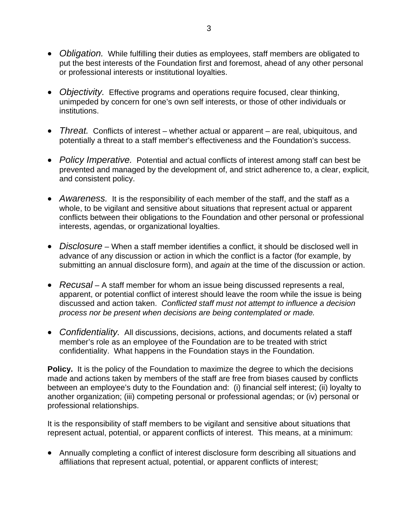- *Obligation.* While fulfilling their duties as employees, staff members are obligated to put the best interests of the Foundation first and foremost, ahead of any other personal or professional interests or institutional loyalties.
- *Objectivity.* Effective programs and operations require focused, clear thinking, unimpeded by concern for one's own self interests, or those of other individuals or institutions.
- *Threat.* Conflicts of interest whether actual or apparent are real, ubiquitous, and potentially a threat to a staff member's effectiveness and the Foundation's success.
- *Policy Imperative.* Potential and actual conflicts of interest among staff can best be prevented and managed by the development of, and strict adherence to, a clear, explicit, and consistent policy.
- *Awareness.* It is the responsibility of each member of the staff, and the staff as a whole, to be vigilant and sensitive about situations that represent actual or apparent conflicts between their obligations to the Foundation and other personal or professional interests, agendas, or organizational loyalties.
- *Disclosure* When a staff member identifies a conflict, it should be disclosed well in advance of any discussion or action in which the conflict is a factor (for example, by submitting an annual disclosure form), and *again* at the time of the discussion or action.
- *Recusal* A staff member for whom an issue being discussed represents a real, apparent, or potential conflict of interest should leave the room while the issue is being discussed and action taken. *Conflicted staff must not attempt to influence a decision process nor be present when decisions are being contemplated or made.*
- *Confidentiality.* All discussions, decisions, actions, and documents related a staff member's role as an employee of the Foundation are to be treated with strict confidentiality. What happens in the Foundation stays in the Foundation.

**Policy.** It is the policy of the Foundation to maximize the degree to which the decisions made and actions taken by members of the staff are free from biases caused by conflicts between an employee's duty to the Foundation and: (i) financial self interest; (ii) loyalty to another organization; (iii) competing personal or professional agendas; or (iv) personal or professional relationships.

It is the responsibility of staff members to be vigilant and sensitive about situations that represent actual, potential, or apparent conflicts of interest. This means, at a minimum:

• Annually completing a conflict of interest disclosure form describing all situations and affiliations that represent actual, potential, or apparent conflicts of interest;